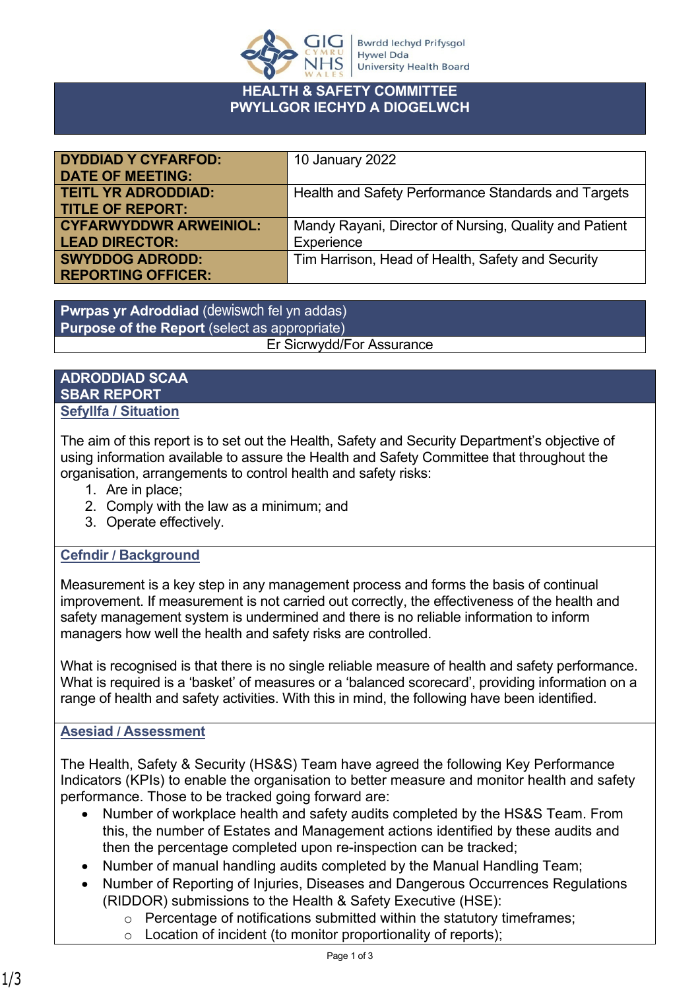

#### **HEALTH & SAFETY COMMITTEE PWYLLGOR IECHYD A DIOGELWCH**

| <b>DYDDIAD Y CYFARFOD:</b>    | 10 January 2022                                        |
|-------------------------------|--------------------------------------------------------|
| <b>DATE OF MEETING:</b>       |                                                        |
| <b>TEITL YR ADRODDIAD:</b>    | Health and Safety Performance Standards and Targets    |
| <b>TITLE OF REPORT:</b>       |                                                        |
| <b>CYFARWYDDWR ARWEINIOL:</b> | Mandy Rayani, Director of Nursing, Quality and Patient |
| <b>LEAD DIRECTOR:</b>         | Experience                                             |
| <b>SWYDDOG ADRODD:</b>        | Tim Harrison, Head of Health, Safety and Security      |
| <b>REPORTING OFFICER:</b>     |                                                        |

**Pwrpas yr Adroddiad** (dewiswch fel yn addas) **Purpose of the Report** (select as appropriate) Er Sicrwydd/For Assurance

#### **ADRODDIAD SCAA SBAR REPORT Sefyllfa / Situation**

The aim of this report is to set out the Health, Safety and Security Department's objective of using information available to assure the Health and Safety Committee that throughout the organisation, arrangements to control health and safety risks:

- 1. Are in place;
- 2. Comply with the law as a minimum; and
- 3. Operate effectively.

# **Cefndir / Background**

Measurement is a key step in any management process and forms the basis of continual improvement. If measurement is not carried out correctly, the effectiveness of the health and safety management system is undermined and there is no reliable information to inform managers how well the health and safety risks are controlled.

What is recognised is that there is no single reliable measure of health and safety performance. What is required is a 'basket' of measures or a 'balanced scorecard', providing information on a range of health and safety activities. With this in mind, the following have been identified.

### **Asesiad / Assessment**

The Health, Safety & Security (HS&S) Team have agreed the following Key Performance Indicators (KPIs) to enable the organisation to better measure and monitor health and safety performance. Those to be tracked going forward are:

- Number of workplace health and safety audits completed by the HS&S Team. From this, the number of Estates and Management actions identified by these audits and then the percentage completed upon re-inspection can be tracked;
- Number of manual handling audits completed by the Manual Handling Team;
- Number of Reporting of Injuries, Diseases and Dangerous Occurrences Regulations (RIDDOR) submissions to the Health & Safety Executive (HSE):
	- o Percentage of notifications submitted within the statutory timeframes;
	- $\circ$  Location of incident (to monitor proportionality of reports);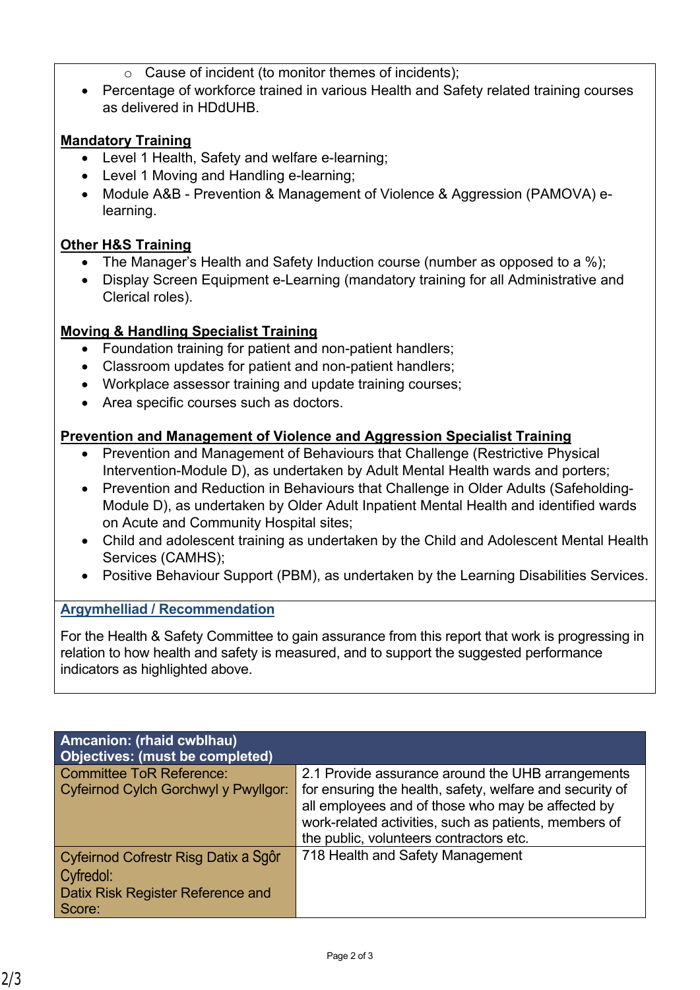- o Cause of incident (to monitor themes of incidents);
- Percentage of workforce trained in various Health and Safety related training courses as delivered in HDdUHB.

# **Mandatory Training**

- Level 1 Health, Safety and welfare e-learning;
- Level 1 Moving and Handling e-learning;
- Module A&B Prevention & Management of Violence & Aggression (PAMOVA) elearning.

## **Other H&S Training**

- The Manager's Health and Safety Induction course (number as opposed to a %);
- Display Screen Equipment e-Learning (mandatory training for all Administrative and Clerical roles).

### **Moving & Handling Specialist Training**

- Foundation training for patient and non-patient handlers;
- Classroom updates for patient and non-patient handlers;
- Workplace assessor training and update training courses;
- Area specific courses such as doctors.

## **Prevention and Management of Violence and Aggression Specialist Training**

- Prevention and Management of Behaviours that Challenge (Restrictive Physical Intervention-Module D), as undertaken by Adult Mental Health wards and porters;
- Prevention and Reduction in Behaviours that Challenge in Older Adults (Safeholding-Module D), as undertaken by Older Adult Inpatient Mental Health and identified wards on Acute and Community Hospital sites;
- Child and adolescent training as undertaken by the Child and Adolescent Mental Health Services (CAMHS);
- Positive Behaviour Support (PBM), as undertaken by the Learning Disabilities Services.

### **Argymhelliad / Recommendation**

For the Health & Safety Committee to gain assurance from this report that work is progressing in relation to how health and safety is measured, and to support the suggested performance indicators as highlighted above.

| <b>Amcanion: (rhaid cwblhau)</b><br>Objectives: (must be completed)                              |                                                                                                                                                                                                                                                                        |  |
|--------------------------------------------------------------------------------------------------|------------------------------------------------------------------------------------------------------------------------------------------------------------------------------------------------------------------------------------------------------------------------|--|
| <b>Committee ToR Reference:</b><br>Cyfeirnod Cylch Gorchwyl y Pwyllgor:                          | 2.1 Provide assurance around the UHB arrangements<br>for ensuring the health, safety, welfare and security of<br>all employees and of those who may be affected by<br>work-related activities, such as patients, members of<br>the public, volunteers contractors etc. |  |
| Cyfeirnod Cofrestr Risg Datix a Sgôr<br>Cyfredol:<br>Datix Risk Register Reference and<br>Score: | 718 Health and Safety Management                                                                                                                                                                                                                                       |  |